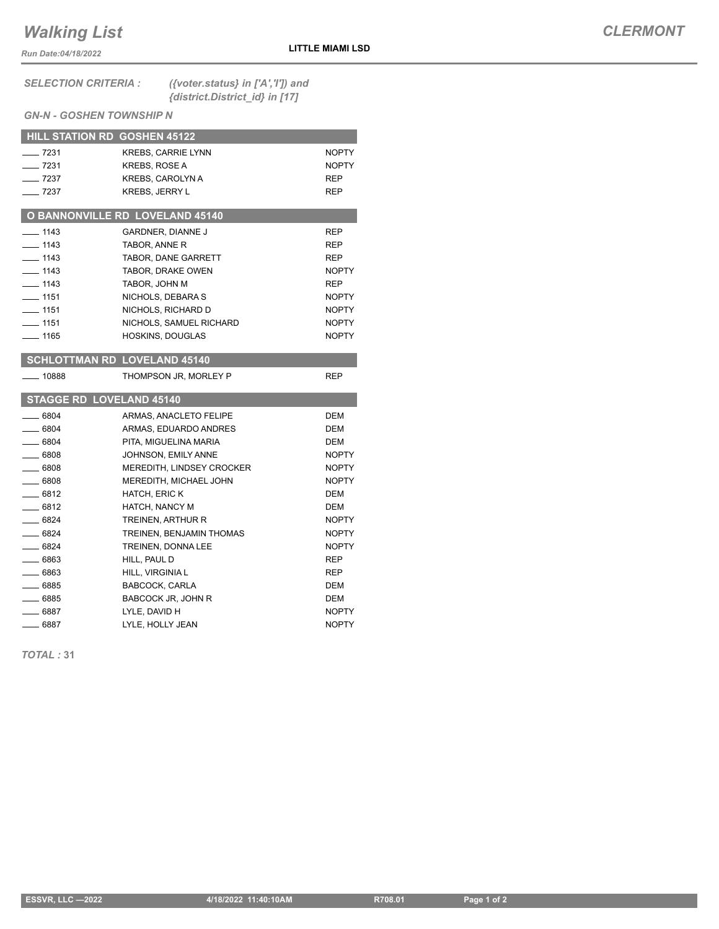## *Walking List*

*Run Date:04/18/2022*

## *CLERMONT*

## $GN-N$  - GOSHE

| <b>SELECTION CRITERIA :</b>     |                         | ({voter.status} in $['A',T']$ ) and<br>{district.District_id} in [17] |              |  |  |
|---------------------------------|-------------------------|-----------------------------------------------------------------------|--------------|--|--|
| <b>GN-N - GOSHEN TOWNSHIP N</b> |                         |                                                                       |              |  |  |
| HILL STATION RD GOSHEN 45122    |                         |                                                                       |              |  |  |
| $- 7231$                        |                         | <b>KREBS, CARRIE LYNN</b>                                             | <b>NOPTY</b> |  |  |
| $\frac{1}{2}$ 7231              | <b>KREBS, ROSE A</b>    |                                                                       | <b>NOPTY</b> |  |  |
| $\frac{1}{2}$ 7237              | <b>KREBS, CAROLYN A</b> |                                                                       | <b>REP</b>   |  |  |

## **O BANNONVILLE RD LOVELAND 45140** 1143 GARDNER, DIANNE J REP 1143 TABOR, ANNE R<br>REP **1143** TABOR, DANE GARRETT REP Lacked 1143 TABOR, DRAKE OWEN NOPTY **1143** TABOR, JOHN M REP 1151 NICHOLS, DEBARA S NOPTY **1151** NICHOLS, RICHARD D NOPTY 1151 NICHOLS, SAMUEL RICHARD NOPTY Lacktrian HOSKINS, DOUGLAS NOPTY  **SCHLOTTMAN RD LOVELAND 45140**

The Transform of the KREBS, JERRY L

| 10888    | THOMPSON JR, MORLEY P           | <b>REP</b>   |
|----------|---------------------------------|--------------|
|          | <b>STAGGE RD LOVELAND 45140</b> |              |
| $-6804$  | ARMAS, ANACLETO FELIPE          | DEM          |
| $-6804$  | ARMAS, EDUARDO ANDRES           | <b>DEM</b>   |
| $-6804$  | PITA, MIGUELINA MARIA           | <b>DEM</b>   |
| $-6808$  | JOHNSON, EMILY ANNE             | <b>NOPTY</b> |
| 6808     | MEREDITH, LINDSEY CROCKER       | <b>NOPTY</b> |
| 6808     | <b>MEREDITH, MICHAEL JOHN</b>   | <b>NOPTY</b> |
| $-6812$  | <b>HATCH, ERIC K</b>            | <b>DEM</b>   |
| $-6812$  | HATCH, NANCY M                  | <b>DEM</b>   |
| $-6824$  | TREINEN, ARTHUR R               | <b>NOPTY</b> |
| $-6824$  | TREINEN, BENJAMIN THOMAS        | <b>NOPTY</b> |
| $-6824$  | TREINEN, DONNA LEE              | <b>NOPTY</b> |
| 6863     | HILL, PAUL D                    | <b>REP</b>   |
| 6863     | HILL, VIRGINIA L                | <b>REP</b>   |
| $-6885$  | BABCOCK, CARLA                  | <b>DEM</b>   |
| ___ 6885 | <b>BABCOCK JR, JOHN R</b>       | <b>DEM</b>   |
| __ 6887  | LYLE, DAVID H                   | <b>NOPTY</b> |
| 6887     | LYLE, HOLLY JEAN                | <b>NOPTY</b> |

*TOTAL :* **31**